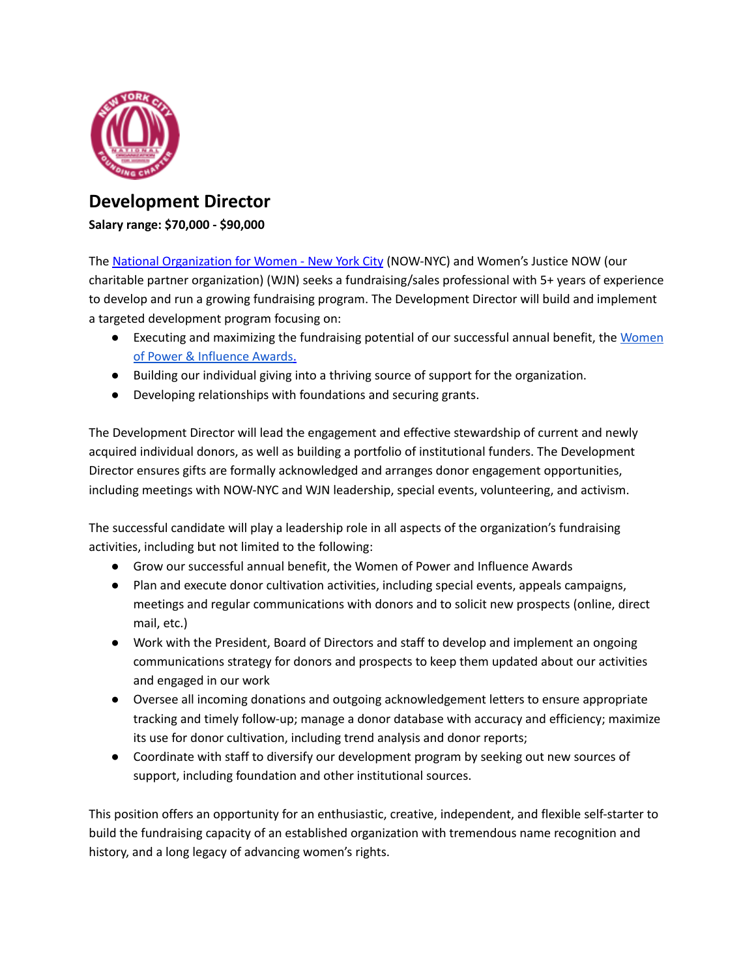

## **Development Director**

**Salary range: \$70,000 - \$90,000**

The National [Organization](http://nownyc.org/) for Women - New York City (NOW-NYC) and Women's Justice NOW (our charitable partner organization) (WJN) seeks a fundraising/sales professional with 5+ years of experience to develop and run a growing fundraising program. The Development Director will build and implement a targeted development program focusing on:

- Executing and maximizing the fundraising potential of our successful annual benefit, the [Women](https://nownyc.org/about/women-of-power-and-influence-awards/women-of-power-influence-awards-2021/) of Power & [Influence](https://nownyc.org/about/women-of-power-and-influence-awards/women-of-power-influence-awards-2021/) Awards.
- Building our individual giving into a thriving source of support for the organization.
- Developing relationships with foundations and securing grants.

The Development Director will lead the engagement and effective stewardship of current and newly acquired individual donors, as well as building a portfolio of institutional funders. The Development Director ensures gifts are formally acknowledged and arranges donor engagement opportunities, including meetings with NOW-NYC and WJN leadership, special events, volunteering, and activism.

The successful candidate will play a leadership role in all aspects of the organization's fundraising activities, including but not limited to the following:

- Grow our successful annual benefit, the Women of Power and Influence Awards
- Plan and execute donor cultivation activities, including special events, appeals campaigns, meetings and regular communications with donors and to solicit new prospects (online, direct mail, etc.)
- Work with the President, Board of Directors and staff to develop and implement an ongoing communications strategy for donors and prospects to keep them updated about our activities and engaged in our work
- Oversee all incoming donations and outgoing acknowledgement letters to ensure appropriate tracking and timely follow-up; manage a donor database with accuracy and efficiency; maximize its use for donor cultivation, including trend analysis and donor reports;
- Coordinate with staff to diversify our development program by seeking out new sources of support, including foundation and other institutional sources.

This position offers an opportunity for an enthusiastic, creative, independent, and flexible self-starter to build the fundraising capacity of an established organization with tremendous name recognition and history, and a long legacy of advancing women's rights.